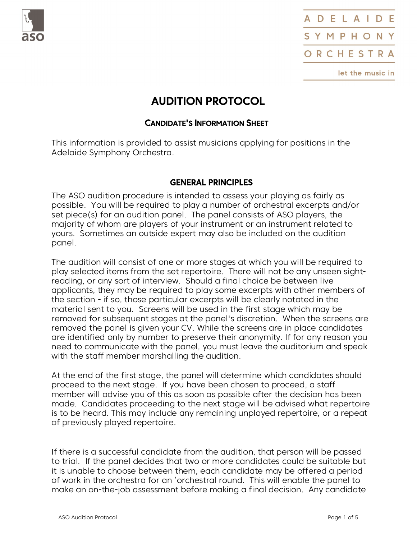



# AUDITION PROTOCOL

# <sup>C</sup>ANDIDATE'S INFORMATION SHEET

This information is provided to assist musicians applying for positions in the Adelaide Symphony Orchestra.

## GENERAL PRINCIPLES

The ASO audition procedure is intended to assess your playing as fairly as possible. You will be required to play a number of orchestral excerpts and/or set piece(s) for an audition panel. The panel consists of ASO players majority of whom are players of your instrument or an instrument related to yours. Sometimes an outside expert may also be included on the audition panel.

The audition will consist of one or more stages at which you will be required to play selected items from the set repertoire. There will not be any unseen sight reading, or any sort of interview. Should a final choice be between live<br>applicants, they may be required to play some excerpts with other members of<br>the section - if so, those particular excerpts will be clearly notated i material sent to you. Screens will be used in the first stage which may be removed for subsequent stages at the panel's discretion. When the screens are removed the panel is given your CV. While the screens are in place candidates<br>are identified only by number to preserve their anonymity. If for any reason you<br>need to communicate with the panel, you must leave the auditori

with the staff member marshalling the audition.<br>At the end of the first stage, the panel will determine which candidates should<br>proceed to the next stage. If you have been chosen to proceed, a staff<br>member will advise you

If there is a successful candidate from the audition, that person will be passed<br>to trial. If the panel decides that two or more candidates could be suitable but<br>it is unable to choose between them, each candidate may be o of work in the orchestra for an 'orchestral round. This will enable the panel to make an on-the-job assessment before making a final decision. Any candidate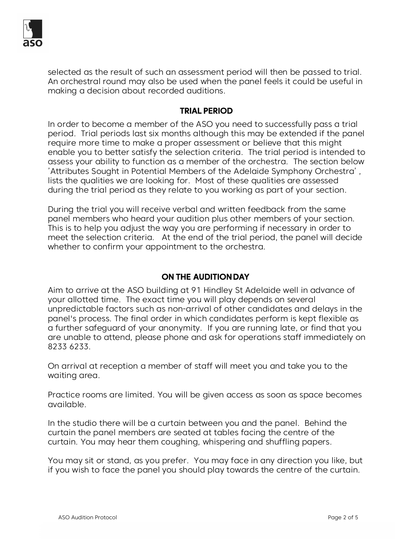

selected as the result of such an assessment period will then be passed to trial. An orchestral round may also be used when the panel feels it could be useful in making a decision about recorded auditions.

#### TRIAL PERIOD

In order to become a member of the ASO you need to successfully pass a trial<br>period. Trial periods last six months although this may be extended if the panel<br>require more time to make a proper assessment or believe that th

#### ON THE AUDITION DAY

Aim to arrive at the ASO building at 91 Hindley St Adelaide well in advance of<br>your allotted time. The exact time you will play depends on several<br>unpredictable factors such as non-arrival of other candidates and delays in

In the studio there will be a curtain between you and the panel. Behind the curtain the panel members are seated at tables facing the centre of the curtain. You may hear them coughing, whispering and shuffling papers.<br>You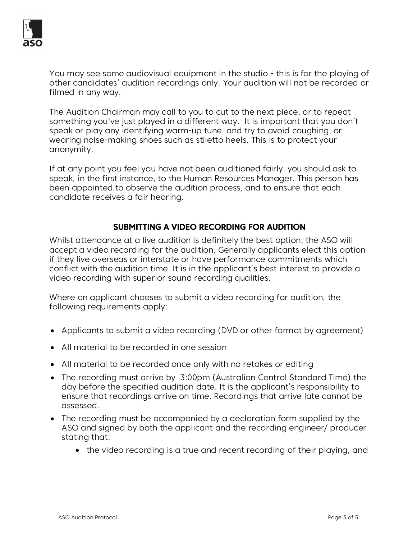

You may see some audiovisual equipment in the studio - this is for the playing of other candidates' audition recordings only. Your audition will not be recorded or<br>filmed in any way.<br>The Audition Chairman may call to you to cut to the next piece, or to repeat<br>something you've just played in a different

speak or play any identifying warm-up tune, and try to avoid coughing, or<br>wearing noise-making shoes such as stiletto heels. This is to protect your<br>anonymity.<br>If at any point you feel you have not been auditioned fairly,

# SUBMITTING A VIDEO RECORDING FOR AUDITION

Whilst attendance at a live audition is definitely the best option, the ASO will accept a video recording for the audition. Generally applicants elect this option if they live overseas or interstate or have performance com

Where an applicant chooses to submit a video recording for audition, the following requirements apply:

- Applicants to submit a video recording (DVD or other format by agreement)
- All material to be recorded in one session
- All material to be recorded once only with no retakes or editing
- The recording must arrive by 3:00pm (Australian Central Standard Time) the day before the specified audition date. It is the applicant's responsibility to ensure that recordings arrive on time. Recordings that arrive late cannot be assessed.
- The recording must be accompanied by a declaration form supplied by the ASO and signed by both the applicant and the recording engineer/ producer stating that:
	- the video recording is a true and recent recording of their playing, and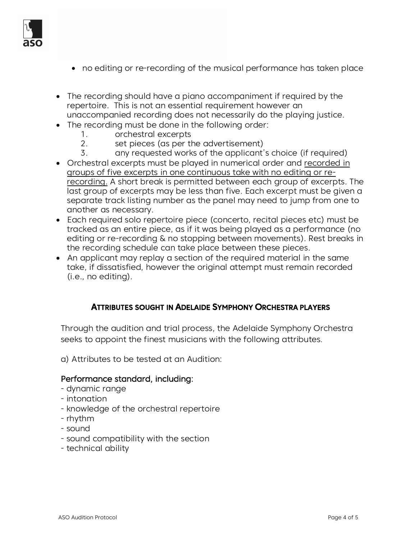

- no editing or re-recording of the musical performance has taken place
- The recording should have a piano accompaniment if required by the repertoire. This is not an essential requirement however an unaccompanied recording does not necessarily do the playing justice.
- The recording must be done in the following order:
	- 1. orchestral excerpts
	- 2. set pieces (as per the advertisement)
	- 3. any requested works of the applicant's choice (if required)
- Orchestral excerpts must be played in numerical order and recorded in groups of five excerpts in one continuous take with no editing or re recording. A short break is permitted between each group of excerpts. The last group of excerpts may be less than five. Each excerpt must be given a separate track listing number as the panel may need to jump from one to another as necessary.
- Each required solo repertoire piece (concerto, recital pieces etc) must be tracked as an entire piece, as if it was being played as a performance (no editing or re-recording & no stopping between movements). Rest breaks in the recording schedule can take place between these pieces.
- An applicant may replay a section of the required material in the same take, if dissatisfied, however the original attempt must remain recorded (i.e., no editing).

#### ATTRIBUTES SOUGHT IN ADELAIDE SYMPHONY ORCHESTRA PLAYERS

Through the audition and trial process, the Adelaide Symphony Orchestra seeks to appoint the finest musicians with the following attributes. a) Attributes to be tested at an Audition:

# Performance standard, including:<br>- dynamic range

- 
- intonation
- knowledge of the orchestral repertoire
- rhythm
- sound
- sound compatibility with the section
- technical ability